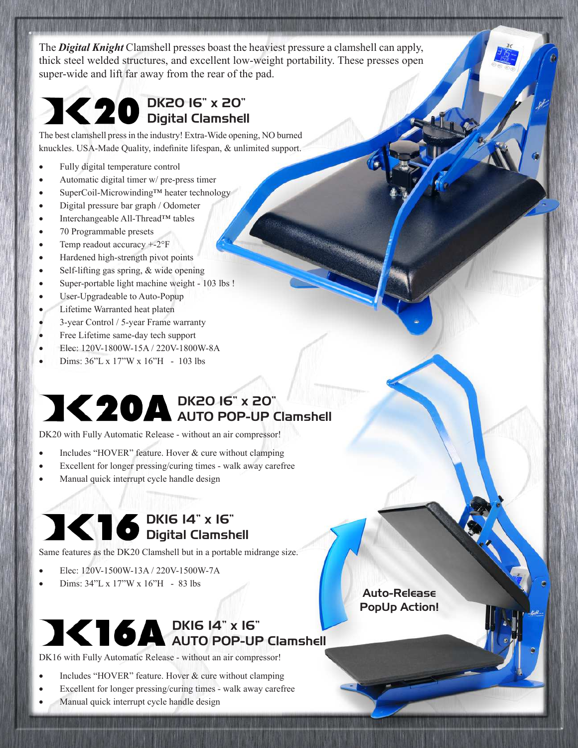The *Digital Knight* Clamshell presses boast the heaviest pressure a clamshell can apply, thick steel welded structures, and excellent low-weight portability. These presses open super-wide and lift far away from the rear of the pad.

### DK20 16" x 20" Digital Clamshell

The best clamshell press in the industry! Extra-Wide opening, NO burned knuckles. USA-Made Quality, indefinite lifespan, & unlimited support.

- · Fully digital temperature control
- Automatic digital timer w/ pre-press timer
- · SuperCoil-Microwinding™ heater technology
- · Digital pressure bar graph / Odometer
- · Interchangeable All-Thread™ tables
- 70 Programmable presets
- Temp readout accuracy  $+2^{\circ}$ F
- · Hardened high-strength pivot points
- Self-lifting gas spring, & wide opening
- · Super-portable light machine weight 103 lbs !
- · User-Upgradeable to Auto-Popup
- · Lifetime Warranted heat platen
- · 3-year Control / 5-year Frame warranty
- Free Lifetime same-day tech support
- · Elec: 120V-1800W-15A / 220V-1800W-8A
- · Dims: 36"L x 17"W x 16"H 103 lbs

#### DK20 16" x 20" AUTO POP-UP Clamshell

DK20 with Fully Automatic Release - without an air compressor!

- Includes "HOVER" feature. Hover  $&$  cure without clamping
- Excellent for longer pressing/curing times walk away carefree
- Manual quick interrupt cycle handle design

### DK16 14" x 16" Digital Clamshell

Same features as the DK20 Clamshell but in a portable midrange size.

- · Elec: 120V-1500W-13A / 220V-1500W-7A
- · Dims: 34"L x 17"W x 16"H 83 lbs

### DK16 14" x 16" AUTO POP-UP Clamshell

DK16 with Fully Automatic Release - without an air compressor!

- Includes "HOVER" feature. Hover & cure without clamping
- Excellent for longer pressing/curing times walk away carefree
- Manual quick interrupt cycle handle design

Auto-Release PopUp Action!